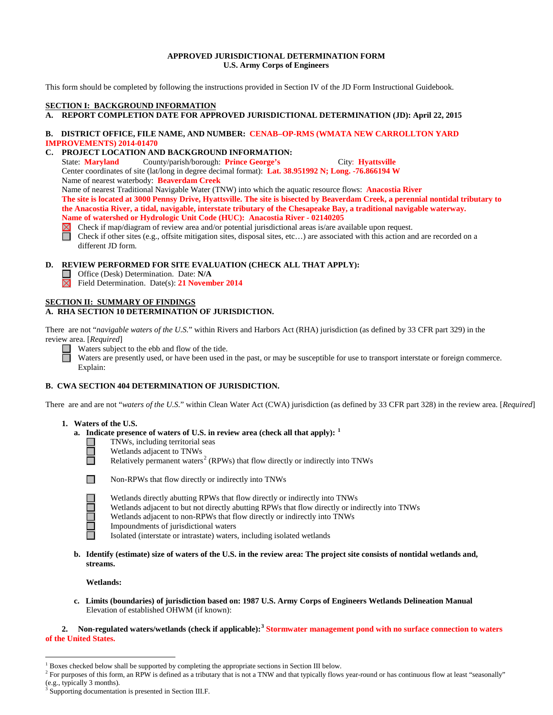## **APPROVED JURISDICTIONAL DETERMINATION FORM U.S. Army Corps of Engineers**

This form should be completed by following the instructions provided in Section IV of the JD Form Instructional Guidebook.

## **SECTION I: BACKGROUND INFORMATION**

**A. REPORT COMPLETION DATE FOR APPROVED JURISDICTIONAL DETERMINATION (JD): April 22, 2015** 

## **B. DISTRICT OFFICE, FILE NAME, AND NUMBER: CENAB–OP-RMS (WMATA NEW CARROLLTON YARD IMPROVEMENTS) 2014-01470**

## **C. PROJECT LOCATION AND BACKGROUND INFORMATION:**

State: **Maryland** County/parish/borough: **Prince George's** City: **Hyattsville** Center coordinates of site (lat/long in degree decimal format): **Lat. 38.951992 N; Long. -76.866194 W** Name of nearest waterbody: **Beaverdam Creek** Name of nearest Traditional Navigable Water (TNW) into which the aquatic resource flows: **Anacostia River The site is located at 3000 Pennsy Drive, Hyattsville. The site is bisected by Beaverdam Creek, a perennial nontidal tributary to** 

**the Anacostia River, a tidal, navigable, interstate tributary of the Chesapeake Bay, a traditional navigable waterway. Name of watershed or Hydrologic Unit Code (HUC): Anacostia River - 02140205**

- Check if map/diagram of review area and/or potential jurisdictional areas is/are available upon request.
- Check if other sites (e.g., offsite mitigation sites, disposal sites, etc…) are associated with this action and are recorded on a different JD form.

#### **D. REVIEW PERFORMED FOR SITE EVALUATION (CHECK ALL THAT APPLY):**

- Office (Desk) Determination. Date: **N/A**
- Field Determination. Date(s): **21 November 2014**

## **SECTION II: SUMMARY OF FINDINGS**

## **A. RHA SECTION 10 DETERMINATION OF JURISDICTION.**

There are not "*navigable waters of the U.S.*" within Rivers and Harbors Act (RHA) jurisdiction (as defined by 33 CFR part 329) in the review area. [*Required*]

Waters subject to the ebb and flow of the tide.

Waters are presently used, or have been used in the past, or may be susceptible for use to transport interstate or foreign commerce. Explain:

## **B. CWA SECTION 404 DETERMINATION OF JURISDICTION.**

There are and are not "*waters of the U.S.*" within Clean Water Act (CWA) jurisdiction (as defined by 33 CFR part 328) in the review area. [*Required*]

#### **1. Waters of the U.S.**

- **a. Indicate presence of waters of U.S. in review area (check all that apply): [1](#page-0-0)**
	- TNWs, including territorial seas
		- Wetlands adjacent to TNWs
			- Relatively permanent waters<sup>[2](#page-0-1)</sup> (RPWs) that flow directly or indirectly into TNWs



Non-RPWs that flow directly or indirectly into TNWs

- Wetlands directly abutting RPWs that flow directly or indirectly into TNWs
- Wetlands adjacent to but not directly abutting RPWs that flow directly or indirectly into TNWs
- Wetlands adjacent to non-RPWs that flow directly or indirectly into TNWs
- Impoundments of jurisdictional waters
- Isolated (interstate or intrastate) waters, including isolated wetlands
- **b. Identify (estimate) size of waters of the U.S. in the review area: The project site consists of nontidal wetlands and, streams.**

#### **Wetlands:**

 **c. Limits (boundaries) of jurisdiction based on: 1987 U.S. Army Corps of Engineers Wetlands Delineation Manual** Elevation of established OHWM (if known):

**2. Non-regulated waters/wetlands (check if applicable): [3](#page-0-2) Stormwater management pond with no surface connection to waters of the United States.**

<span id="page-0-0"></span> $1$  Boxes checked below shall be supported by completing the appropriate sections in Section III below.

<span id="page-0-1"></span><sup>&</sup>lt;sup>2</sup> For purposes of this form, an RPW is defined as a tributary that is not a TNW and that typically flows year-round or has continuous flow at least "seasonally" (e.g., typically 3 months).

<span id="page-0-2"></span>Supporting documentation is presented in Section III.F.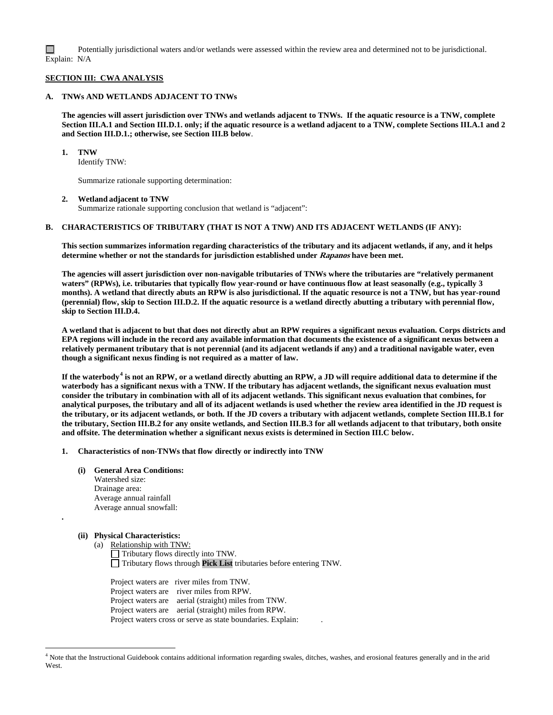□ Potentially jurisdictional waters and/or wetlands were assessed within the review area and determined not to be jurisdictional. Explain: N/A

#### **SECTION III: CWA ANALYSIS**

## **A. TNWs AND WETLANDS ADJACENT TO TNWs**

**The agencies will assert jurisdiction over TNWs and wetlands adjacent to TNWs. If the aquatic resource is a TNW, complete Section III.A.1 and Section III.D.1. only; if the aquatic resource is a wetland adjacent to a TNW, complete Sections III.A.1 and 2 and Section III.D.1.; otherwise, see Section III.B below**.

**1. TNW** 

Identify TNW:

Summarize rationale supporting determination:

#### **2. Wetland adjacent to TNW**

Summarize rationale supporting conclusion that wetland is "adjacent":

#### **B. CHARACTERISTICS OF TRIBUTARY (THAT IS NOT A TNW) AND ITS ADJACENT WETLANDS (IF ANY):**

**This section summarizes information regarding characteristics of the tributary and its adjacent wetlands, if any, and it helps determine whether or not the standards for jurisdiction established under Rapanos have been met.** 

**The agencies will assert jurisdiction over non-navigable tributaries of TNWs where the tributaries are "relatively permanent waters" (RPWs), i.e. tributaries that typically flow year-round or have continuous flow at least seasonally (e.g., typically 3 months). A wetland that directly abuts an RPW is also jurisdictional. If the aquatic resource is not a TNW, but has year-round (perennial) flow, skip to Section III.D.2. If the aquatic resource is a wetland directly abutting a tributary with perennial flow, skip to Section III.D.4.**

**A wetland that is adjacent to but that does not directly abut an RPW requires a significant nexus evaluation. Corps districts and EPA regions will include in the record any available information that documents the existence of a significant nexus between a relatively permanent tributary that is not perennial (and its adjacent wetlands if any) and a traditional navigable water, even though a significant nexus finding is not required as a matter of law.**

**If the waterbody[4](#page-1-0) is not an RPW, or a wetland directly abutting an RPW, a JD will require additional data to determine if the waterbody has a significant nexus with a TNW. If the tributary has adjacent wetlands, the significant nexus evaluation must consider the tributary in combination with all of its adjacent wetlands. This significant nexus evaluation that combines, for analytical purposes, the tributary and all of its adjacent wetlands is used whether the review area identified in the JD request is the tributary, or its adjacent wetlands, or both. If the JD covers a tributary with adjacent wetlands, complete Section III.B.1 for the tributary, Section III.B.2 for any onsite wetlands, and Section III.B.3 for all wetlands adjacent to that tributary, both onsite and offsite. The determination whether a significant nexus exists is determined in Section III.C below.**

#### **1. Characteristics of non-TNWs that flow directly or indirectly into TNW**

- **(i) General Area Conditions:** Watershed size: Drainage area:
	- Average annual rainfall Average annual snowfall:

### **(ii) Physical Characteristics:**

**.**

(a) Relationship with TNW: Tributary flows directly into TNW. Tributary flows through **Pick List** tributaries before entering TNW.

Project waters are river miles from TNW. Project waters are river miles from RPW. Project waters are aerial (straight) miles from TNW. Project waters are aerial (straight) miles from RPW. Project waters cross or serve as state boundaries. Explain:

<span id="page-1-0"></span> <sup>4</sup> Note that the Instructional Guidebook contains additional information regarding swales, ditches, washes, and erosional features generally and in the arid West.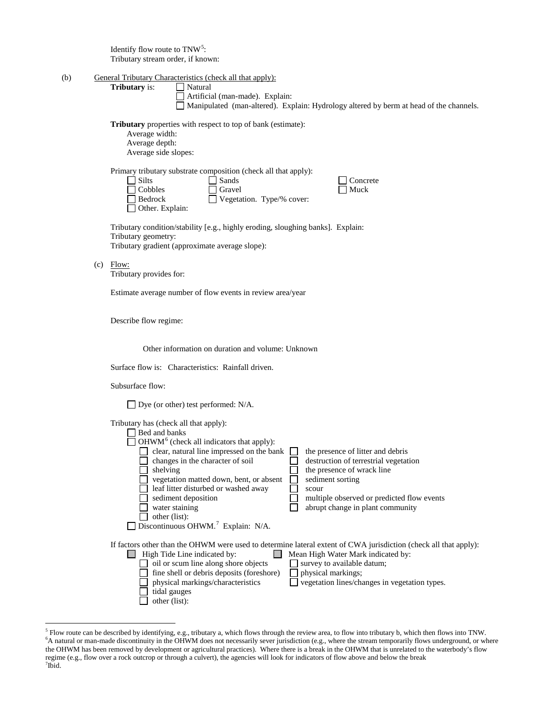Identify flow route to  $TNW<sup>5</sup>$  $TNW<sup>5</sup>$  $TNW<sup>5</sup>$ : Tributary stream order, if known:

| (b) | General Tributary Characteristics (check all that apply): |         |  |  |
|-----|-----------------------------------------------------------|---------|--|--|
|     | <b>Tributary</b> is:                                      | Natural |  |  |

Artificial (man-made). Explain:

Manipulated (man-altered). Explain: Hydrology altered by berm at head of the channels.

**Tributary** properties with respect to top of bank (estimate):

| Average width:       |
|----------------------|
| Average depth:       |
| Average side slopes: |

| Primary tributary substrate composition (check all that apply): |                                  |  |  |
|-----------------------------------------------------------------|----------------------------------|--|--|
| $\Box$ Silts                                                    | Sands                            |  |  |
| $\Box$ Cobbles                                                  | $\Box$ Gravel                    |  |  |
| $\Box$ Bedrock                                                  | $\Box$ Vegetation. Type/% cover: |  |  |

Other. Explain:

T Concrete  $\Box$  Muck

Tributary condition/stability [e.g., highly eroding, sloughing banks]. Explain: Tributary geometry: Tributary gradient (approximate average slope):

(c) Flow:

Tributary provides for:

Estimate average number of flow events in review area/year

Describe flow regime:

Other information on duration and volume: Unknown

Surface flow is: Characteristics: Rainfall driven.

Subsurface flow:

□ Dye (or other) test performed: N/A.

 $Tribitrary has (check all that apply):$ 

| THOULATY HAS (CHECK All that apply).                                                                                                                                                    |                                                                                                                                                                                                                                                             |
|-----------------------------------------------------------------------------------------------------------------------------------------------------------------------------------------|-------------------------------------------------------------------------------------------------------------------------------------------------------------------------------------------------------------------------------------------------------------|
| Bed and banks                                                                                                                                                                           |                                                                                                                                                                                                                                                             |
| $OHWM6$ (check all indicators that apply):                                                                                                                                              |                                                                                                                                                                                                                                                             |
| clear, natural line impressed on the bank                                                                                                                                               | the presence of litter and debris                                                                                                                                                                                                                           |
| changes in the character of soil                                                                                                                                                        | destruction of terrestrial vegetation                                                                                                                                                                                                                       |
| shelving                                                                                                                                                                                | the presence of wrack line                                                                                                                                                                                                                                  |
| vegetation matted down, bent, or absent                                                                                                                                                 | sediment sorting                                                                                                                                                                                                                                            |
| leaf litter disturbed or washed away                                                                                                                                                    | scour                                                                                                                                                                                                                                                       |
| sediment deposition                                                                                                                                                                     | multiple observed or predicted flow events                                                                                                                                                                                                                  |
| water staining                                                                                                                                                                          | abrupt change in plant community                                                                                                                                                                                                                            |
| other (list):                                                                                                                                                                           |                                                                                                                                                                                                                                                             |
| Discontinuous OHWM. <sup>7</sup> Explain: N/A.                                                                                                                                          |                                                                                                                                                                                                                                                             |
| High Tide Line indicated by:<br>oil or scum line along shore objects<br>fine shell or debris deposits (foreshore)<br>physical markings/characteristics<br>tidal gauges<br>other (list): | If factors other than the OHWM were used to determine lateral extent of CWA jurisdiction (check all that apply):<br>Mean High Water Mark indicated by:<br>survey to available datum;<br>physical markings;<br>vegetation lines/changes in vegetation types. |

<span id="page-2-2"></span><span id="page-2-1"></span><span id="page-2-0"></span><sup>&</sup>lt;sup>5</sup> Flow route can be described by identifying, e.g., tributary a, which flows through the review area, to flow into tributary b, which then flows into TNW. <sup>6</sup>A natural or man-made discontinuity in the OHWM does not necessarily sever jurisdiction (e.g., where the stream temporarily flows underground, or where the OHWM has been removed by development or agricultural practices). Where there is a break in the OHWM that is unrelated to the waterbody's flow regime (e.g., flow over a rock outcrop or through a culvert), the agencies will look for indicators of flow above and below the break <sup>7</sup>  $7$ Ibid.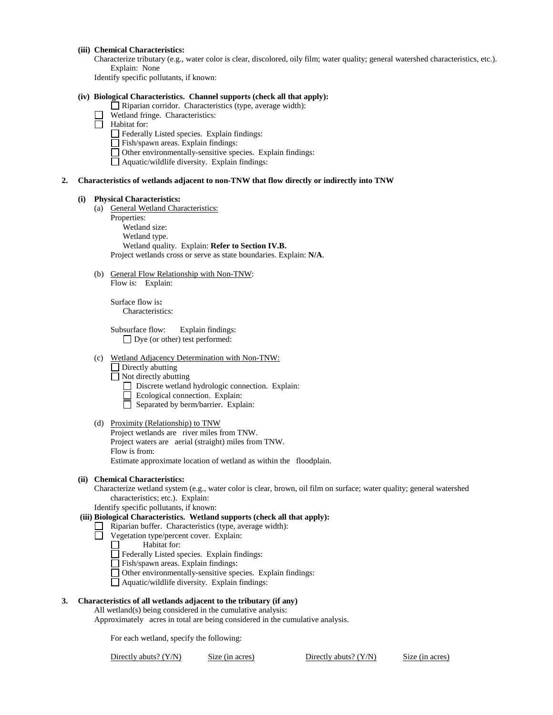## **(iii) Chemical Characteristics:**

Characterize tributary (e.g., water color is clear, discolored, oily film; water quality; general watershed characteristics, etc.). Explain: None

Identify specific pollutants, if known:

#### **(iv) Biological Characteristics. Channel supports (check all that apply):**

Riparian corridor. Characteristics (type, average width):

- Wetland fringe. Characteristics:
- **Habitat for:** 
	- Federally Listed species. Explain findings:
	- $\Box$  Fish/spawn areas. Explain findings:
	- $\Box$  Other environmentally-sensitive species. Explain findings:
	- $\Box$  Aquatic/wildlife diversity. Explain findings:

#### **2. Characteristics of wetlands adjacent to non-TNW that flow directly or indirectly into TNW**

#### **(i) Physical Characteristics:**

- (a) General Wetland Characteristics:
	- Properties:

Wetland size:

Wetland type.

Wetland quality. Explain: **Refer to Section IV.B.**

Project wetlands cross or serve as state boundaries. Explain: **N/A**.

(b) General Flow Relationship with Non-TNW: Flow is: Explain:

Surface flow is**:** 

Characteristics:

Subsurface flow:Explain findings: Dye (or other) test performed:

## (c) Wetland Adjacency Determination with Non-TNW:

- $\Box$  Directly abutting
- $\Box$  Not directly abutting
	- Discrete wetland hydrologic connection. Explain:
	- Ecological connection. Explain:
	- $\Box$  Separated by berm/barrier. Explain:

#### (d) Proximity (Relationship) to TNW

Project wetlands are river miles from TNW. Project waters are aerial (straight) miles from TNW. Flow is from: Estimate approximate location of wetland as within the floodplain.

#### **(ii) Chemical Characteristics:**

Characterize wetland system (e.g., water color is clear, brown, oil film on surface; water quality; general watershed characteristics; etc.). Explain:

Identify specific pollutants, if known:

## **(iii) Biological Characteristics. Wetland supports (check all that apply):**

- $\Box$  Riparian buffer. Characteristics (type, average width):
- Vegetation type/percent cover. Explain:
	- $\overline{\phantom{a}}$ Habitat for:
	- Federally Listed species. Explain findings:
	- Fish/spawn areas. Explain findings:
	- Other environmentally-sensitive species. Explain findings:
	- Aquatic/wildlife diversity. Explain findings:

## **3. Characteristics of all wetlands adjacent to the tributary (if any)**

All wetland(s) being considered in the cumulative analysis:

Approximately acres in total are being considered in the cumulative analysis.

For each wetland, specify the following:

| Directly abuts? (Y/N) | Size (in acres) | Directly abuts? $(Y/N)$ | Size (in acres) |
|-----------------------|-----------------|-------------------------|-----------------|
|-----------------------|-----------------|-------------------------|-----------------|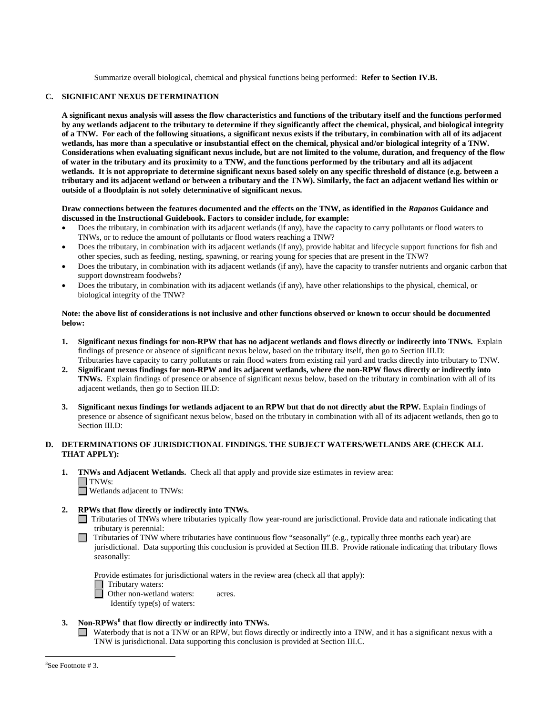Summarize overall biological, chemical and physical functions being performed: **Refer to Section IV.B.**

### **C. SIGNIFICANT NEXUS DETERMINATION**

**A significant nexus analysis will assess the flow characteristics and functions of the tributary itself and the functions performed by any wetlands adjacent to the tributary to determine if they significantly affect the chemical, physical, and biological integrity of a TNW. For each of the following situations, a significant nexus exists if the tributary, in combination with all of its adjacent wetlands, has more than a speculative or insubstantial effect on the chemical, physical and/or biological integrity of a TNW. Considerations when evaluating significant nexus include, but are not limited to the volume, duration, and frequency of the flow of water in the tributary and its proximity to a TNW, and the functions performed by the tributary and all its adjacent wetlands. It is not appropriate to determine significant nexus based solely on any specific threshold of distance (e.g. between a tributary and its adjacent wetland or between a tributary and the TNW). Similarly, the fact an adjacent wetland lies within or outside of a floodplain is not solely determinative of significant nexus.** 

## **Draw connections between the features documented and the effects on the TNW, as identified in the** *Rapanos* **Guidance and discussed in the Instructional Guidebook. Factors to consider include, for example:**

- Does the tributary, in combination with its adjacent wetlands (if any), have the capacity to carry pollutants or flood waters to TNWs, or to reduce the amount of pollutants or flood waters reaching a TNW?
- Does the tributary, in combination with its adjacent wetlands (if any), provide habitat and lifecycle support functions for fish and other species, such as feeding, nesting, spawning, or rearing young for species that are present in the TNW?
- Does the tributary, in combination with its adjacent wetlands (if any), have the capacity to transfer nutrients and organic carbon that support downstream foodwebs?
- Does the tributary, in combination with its adjacent wetlands (if any), have other relationships to the physical, chemical, or biological integrity of the TNW?

## **Note: the above list of considerations is not inclusive and other functions observed or known to occur should be documented below:**

- **1. Significant nexus findings for non-RPW that has no adjacent wetlands and flows directly or indirectly into TNWs.** Explain findings of presence or absence of significant nexus below, based on the tributary itself, then go to Section III.D: Tributaries have capacity to carry pollutants or rain flood waters from existing rail yard and tracks directly into tributary to TNW.
- **2. Significant nexus findings for non-RPW and its adjacent wetlands, where the non-RPW flows directly or indirectly into TNWs.** Explain findings of presence or absence of significant nexus below, based on the tributary in combination with all of its adjacent wetlands, then go to Section III.D:
- **3. Significant nexus findings for wetlands adjacent to an RPW but that do not directly abut the RPW.** Explain findings of presence or absence of significant nexus below, based on the tributary in combination with all of its adjacent wetlands, then go to Section III.D:

## **D. DETERMINATIONS OF JURISDICTIONAL FINDINGS. THE SUBJECT WATERS/WETLANDS ARE (CHECK ALL THAT APPLY):**

- **1. TNWs and Adjacent Wetlands.** Check all that apply and provide size estimates in review area:  $\Box$  TNWs:
	- Wetlands adjacent to TNWs:

## **2. RPWs that flow directly or indirectly into TNWs.**

- Tributaries of TNWs where tributaries typically flow year-round are jurisdictional. Provide data and rationale indicating that tributary is perennial:
- $\Box$  Tributaries of TNW where tributaries have continuous flow "seasonally" (e.g., typically three months each year) are jurisdictional. Data supporting this conclusion is provided at Section III.B. Provide rationale indicating that tributary flows seasonally:

Provide estimates for jurisdictional waters in the review area (check all that apply):

 $\Box$  Tributary waters:

□ Other non-wetland waters: acres.

Identify type(s) of waters:

## <span id="page-4-0"></span>**3. Non-RPWs[8](#page-4-0) that flow directly or indirectly into TNWs.**

Waterbody that is not a TNW or an RPW, but flows directly or indirectly into a TNW, and it has a significant nexus with a TNW is jurisdictional. Data supporting this conclusion is provided at Section III.C.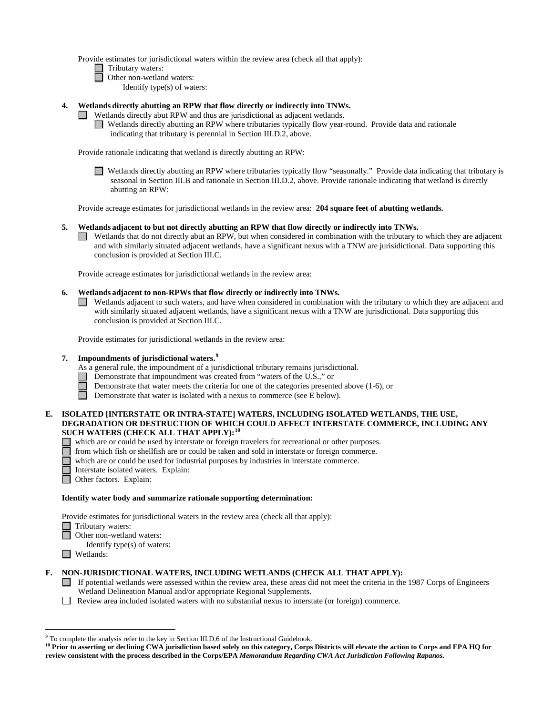Provide estimates for jurisdictional waters within the review area (check all that apply):

- $\Box$  Tributary waters:
- □ Other non-wetland waters:
	- Identify type(s) of waters:
- **4. Wetlands directly abutting an RPW that flow directly or indirectly into TNWs.** 
	- Wetlands directly abut RPW and thus are jurisdictional as adjacent wetlands.
		- Wetlands directly abutting an RPW where tributaries typically flow year-round. Provide data and rationale indicating that tributary is perennial in Section III.D.2, above.

Provide rationale indicating that wetland is directly abutting an RPW:

Wetlands directly abutting an RPW where tributaries typically flow "seasonally." Provide data indicating that tributary is seasonal in Section III.B and rationale in Section III.D.2, above. Provide rationale indicating that wetland is directly abutting an RPW:

Provide acreage estimates for jurisdictional wetlands in the review area: **204 square feet of abutting wetlands.**

#### **5. Wetlands adjacent to but not directly abutting an RPW that flow directly or indirectly into TNWs.**

Wetlands that do not directly abut an RPW, but when considered in combination with the tributary to which they are adjacent and with similarly situated adjacent wetlands, have a significant nexus with a TNW are jurisidictional. Data supporting this conclusion is provided at Section III.C.

Provide acreage estimates for jurisdictional wetlands in the review area:

#### **6. Wetlands adjacent to non-RPWs that flow directly or indirectly into TNWs.**

Wetlands adjacent to such waters, and have when considered in combination with the tributary to which they are adjacent and with similarly situated adjacent wetlands, have a significant nexus with a TNW are jurisdictional. Data supporting this conclusion is provided at Section III.C.

Provide estimates for jurisdictional wetlands in the review area:

#### **7. Impoundments of jurisdictional waters.[9](#page-5-0)**

- As a general rule, the impoundment of a jurisdictional tributary remains jurisdictional.
	- Demonstrate that impoundment was created from "waters of the U.S.," or
	- Demonstrate that water meets the criteria for one of the categories presented above (1-6), or
- $\Box$ Demonstrate that water is isolated with a nexus to commerce (see E below).

### **E. ISOLATED [INTERSTATE OR INTRA-STATE] WATERS, INCLUDING ISOLATED WETLANDS, THE USE, DEGRADATION OR DESTRUCTION OF WHICH COULD AFFECT INTERSTATE COMMERCE, INCLUDING ANY SUCH WATERS (CHECK ALL THAT APPLY):[10](#page-5-1)**

- which are or could be used by interstate or foreign travelers for recreational or other purposes.
- from which fish or shellfish are or could be taken and sold in interstate or foreign commerce.
- which are or could be used for industrial purposes by industries in interstate commerce.
- Interstate isolated waters.Explain:
- □ Other factors. Explain:

#### **Identify water body and summarize rationale supporting determination:**

Provide estimates for jurisdictional waters in the review area (check all that apply): Tributary waters:

- Other non-wetland waters:
	- Identify type(s) of waters:
- Wetlands:

## **F. NON-JURISDICTIONAL WATERS, INCLUDING WETLANDS (CHECK ALL THAT APPLY):**

- If potential wetlands were assessed within the review area, these areas did not meet the criteria in the 1987 Corps of Engineers Wetland Delineation Manual and/or appropriate Regional Supplements.
- Review area included isolated waters with no substantial nexus to interstate (or foreign) commerce.

<span id="page-5-0"></span><sup>&</sup>lt;sup>9</sup> To complete the analysis refer to the key in Section III.D.6 of the Instructional Guidebook.

<span id="page-5-1"></span><sup>&</sup>lt;sup>10</sup> Prior to asserting or declining CWA jurisdiction based solely on this category, Corps Districts will elevate the action to Corps and EPA HQ for **review consistent with the process described in the Corps/EPA** *Memorandum Regarding CWA Act Jurisdiction Following Rapanos.*